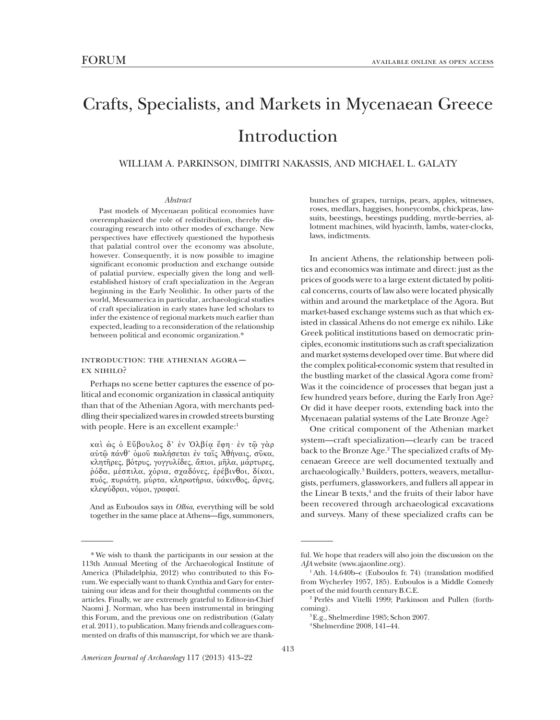# Crafts, Specialists, and Markets in Mycenaean Greece Introduction

WILLIAM A. PARKINSON, DIMITRI NAKASSIS, AND MICHAEL L. GALATY

#### *Abstract*

Past models of Mycenaean political economies have overemphasized the role of redistribution, thereby discouraging research into other modes of exchange. New perspectives have effectively questioned the hypothesis that palatial control over the economy was absolute, however. Consequently, it is now possible to imagine significant economic production and exchange outside of palatial purview, especially given the long and wellestablished history of craft specialization in the Aegean beginning in the Early Neolithic. In other parts of the world, Mesoamerica in particular, archaeological studies of craft specialization in early states have led scholars to infer the existence of regional markets much earlier than expected, leading to a reconsideration of the relationship between political and economic organization.\*

### introduction: the athenian agora ex nihilo?

Perhaps no scene better captures the essence of political and economic organization in classical antiquity than that of the Athenian Agora, with merchants peddling their specialized wares in crowded streets bursting with people. Here is an excellent example:<sup>1</sup>

καὶ ὡς ὁ Εὔβουλος δ' ἐν Ὀλβίᾳ ἔφη· ἐν τῷ γὰρ αὐτῷ πάνθ' ὁμοῦ πωλήσεται ἐν ταῖς Ἀθήναις, σῦκα, κλητῆρες, βότρυς, γογγυλίδες, ἄπιοι, μῆλα, μάρτυρες, ῥόδα, μέσπιλα, χόρια, σχαδόνες, ἐρέβινθοι, δίκαι, πυός, πυριάτη, μύρτα, κληρωτήρια, ὑάκινθος, ἄρνες, κλεψύδραι, νόμοι, γραφαί.

And as Euboulos says in *Olbia*, everything will be sold together in the same place at Athens—figs, summoners, bunches of grapes, turnips, pears, apples, witnesses, roses, medlars, haggises, honeycombs, chickpeas, lawsuits, beestings, beestings pudding, myrtle-berries, allotment machines, wild hyacinth, lambs, water-clocks, laws, indictments.

In ancient Athens, the relationship between politics and economics was intimate and direct: just as the prices of goods were to a large extent dictated by political concerns, courts of law also were located physically within and around the marketplace of the Agora. But market-based exchange systems such as that which existed in classical Athens do not emerge ex nihilo. Like Greek political institutions based on democratic principles, economic institutions such as craft specialization and market systems developed over time. But where did the complex political-economic system that resulted in the bustling market of the classical Agora come from? Was it the coincidence of processes that began just a few hundred years before, during the Early Iron Age? Or did it have deeper roots, extending back into the Mycenaean palatial systems of the Late Bronze Age?

One critical component of the Athenian market system—craft specialization—clearly can be traced back to the Bronze Age.2 The specialized crafts of Mycenaean Greece are well documented textually and archaeologically.3 Builders, potters, weavers, metallurgists, perfumers, glassworkers, and fullers all appear in the Linear B texts,<sup>4</sup> and the fruits of their labor have been recovered through archaeological excavations and surveys. Many of these specialized crafts can be

<sup>\*</sup> We wish to thank the participants in our session at the 113th Annual Meeting of the Archaeological Institute of America (Philadelphia, 2012) who contributed to this Forum. We especially want to thank Cynthia and Gary for entertaining our ideas and for their thoughtful comments on the articles. Finally, we are extremely grateful to Editor-in-Chief Naomi J. Norman, who has been instrumental in bringing this Forum, and the previous one on redistribution (Galaty et al. 2011), to publication. Many friends and colleagues commented on drafts of this manuscript, for which we are thank-

ful. We hope that readers will also join the discussion on the *AJA* website [\(www.ajaonline.org\).](http://www.ajaonline.org/forum/1554)

<sup>&</sup>lt;sup>1</sup> Ath. 14.640b–c (Euboulos fr. 74) (translation modified from Wycherley 1957, 185). Euboulos is a Middle Comedy poet of the mid fourth century B.C.E. 2 Perlès and Vitelli 1999; Parkinson and Pullen (forth-

coming).

<sup>3</sup> E.g., Shelmerdine 1985; Schon 2007.

<sup>4</sup> Shelmerdine 2008, 141–44.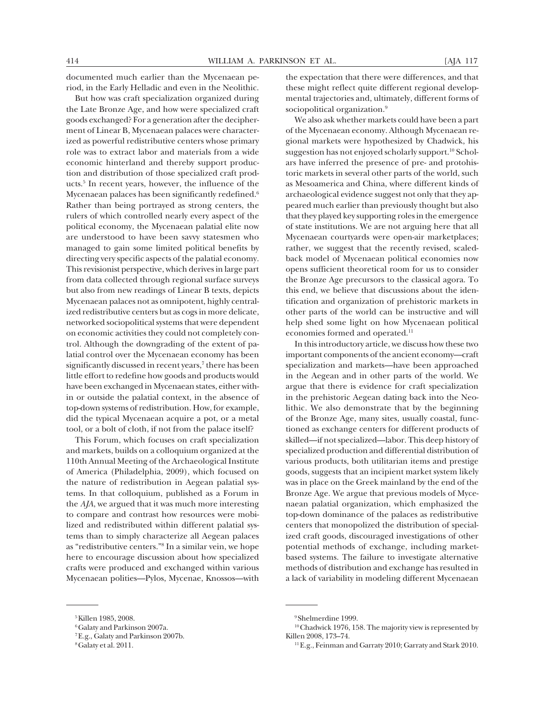documented much earlier than the Mycenaean period, in the Early Helladic and even in the Neolithic.

But how was craft specialization organized during the Late Bronze Age, and how were specialized craft goods exchanged? For a generation after the decipherment of Linear B, Mycenaean palaces were characterized as powerful redistributive centers whose primary role was to extract labor and materials from a wide economic hinterland and thereby support production and distribution of those specialized craft products.5 In recent years, however, the influence of the Mycenaean palaces has been significantly redefined.<sup>6</sup> Rather than being portrayed as strong centers, the rulers of which controlled nearly every aspect of the political economy, the Mycenaean palatial elite now are understood to have been savvy statesmen who managed to gain some limited political benefits by directing very specific aspects of the palatial economy. This revisionist perspective, which derives in large part from data collected through regional surface surveys but also from new readings of Linear B texts, depicts Mycenaean palaces not as omnipotent, highly centralized redistributive centers but as cogs in more delicate, networked sociopolitical systems that were dependent on economic activities they could not completely control. Although the downgrading of the extent of palatial control over the Mycenaean economy has been significantly discussed in recent years,<sup>7</sup> there has been little effort to redefine how goods and products would have been exchanged in Mycenaean states, either within or outside the palatial context, in the absence of top-down systems of redistribution. How, for example, did the typical Mycenaean acquire a pot, or a metal tool, or a bolt of cloth, if not from the palace itself?

This Forum, which focuses on craft specialization and markets, builds on a colloquium organized at the 110th Annual Meeting of the Archaeological Institute of America (Philadelphia, 2009), which focused on the nature of redistribution in Aegean palatial systems. In that colloquium, published as a Forum in the *AJA*, we argued that it was much more interesting to compare and contrast how resources were mobilized and redistributed within different palatial systems than to simply characterize all Aegean palaces as "redistributive centers."8 In a similar vein, we hope here to encourage discussion about how specialized crafts were produced and exchanged within various Mycenaean polities—Pylos, Mycenae, Knossos—with

the expectation that there were differences, and that these might reflect quite different regional developmental trajectories and, ultimately, different forms of sociopolitical organization.<sup>9</sup>

We also ask whether markets could have been a part of the Mycenaean economy. Although Mycenaean regional markets were hypothesized by Chadwick, his suggestion has not enjoyed scholarly support.<sup>10</sup> Scholars have inferred the presence of pre- and protohistoric markets in several other parts of the world, such as Mesoamerica and China, where different kinds of archaeological evidence suggest not only that they appeared much earlier than previously thought but also that they played key supporting roles in the emergence of state institutions. We are not arguing here that all Mycenaean courtyards were open-air marketplaces; rather, we suggest that the recently revised, scaledback model of Mycenaean political economies now opens sufficient theoretical room for us to consider the Bronze Age precursors to the classical agora. To this end, we believe that discussions about the identification and organization of prehistoric markets in other parts of the world can be instructive and will help shed some light on how Mycenaean political economies formed and operated.<sup>11</sup>

In this introductory article, we discuss how these two important components of the ancient economy—craft specialization and markets—have been approached in the Aegean and in other parts of the world. We argue that there is evidence for craft specialization in the prehistoric Aegean dating back into the Neolithic. We also demonstrate that by the beginning of the Bronze Age, many sites, usually coastal, functioned as exchange centers for different products of skilled—if not specialized—labor. This deep history of specialized production and differential distribution of various products, both utilitarian items and prestige goods, suggests that an incipient market system likely was in place on the Greek mainland by the end of the Bronze Age. We argue that previous models of Mycenaean palatial organization, which emphasized the top-down dominance of the palaces as redistributive centers that monopolized the distribution of specialized craft goods, discouraged investigations of other potential methods of exchange, including marketbased systems. The failure to investigate alternative methods of distribution and exchange has resulted in a lack of variability in modeling different Mycenaean

<sup>5</sup> Killen 1985, 2008.

<sup>6</sup> Galaty and Parkinson 2007a.

<sup>7</sup> E.g., Galaty and Parkinson 2007b.

<sup>8</sup> Galaty et al. 2011.

<sup>&</sup>lt;sup>9</sup> Shelmerdine 1999.

<sup>&</sup>lt;sup>10</sup> Chadwick 1976, 158. The majority view is represented by Killen 2008, 173–74.

<sup>11</sup> E.g., Feinman and Garraty 2010; Garraty and Stark 2010.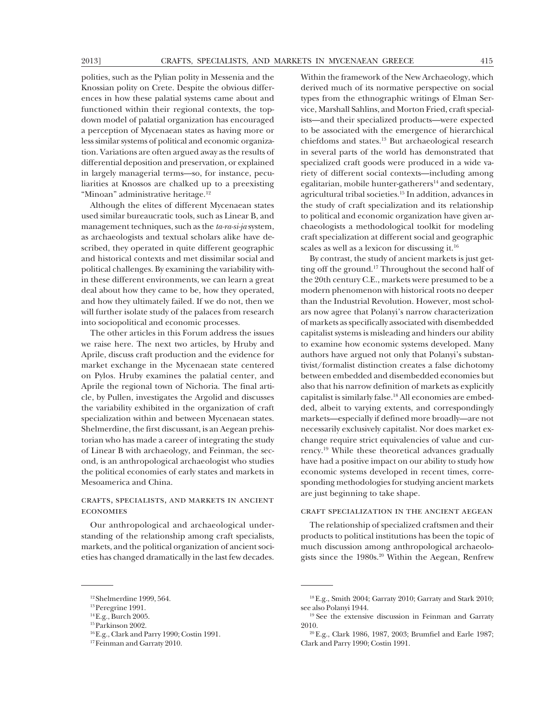polities, such as the Pylian polity in Messenia and the Knossian polity on Crete. Despite the obvious differences in how these palatial systems came about and functioned within their regional contexts, the topdown model of palatial organization has encouraged a perception of Mycenaean states as having more or less similar systems of political and economic organization. Variations are often argued away as the results of differential deposition and preservation, or explained in largely managerial terms—so, for instance, peculiarities at Knossos are chalked up to a preexisting "Minoan" administrative heritage.<sup>12</sup>

Although the elites of different Mycenaean states used similar bureaucratic tools, such as Linear B, and management techniques, such as the *ta-ra-si-ja* system, as archaeologists and textual scholars alike have described, they operated in quite different geographic and historical contexts and met dissimilar social and political challenges. By examining the variability within these different environments, we can learn a great deal about how they came to be, how they operated, and how they ultimately failed. If we do not, then we will further isolate study of the palaces from research into sociopolitical and economic processes.

The other articles in this Forum address the issues we raise here. The next two articles, by Hruby and Aprile, discuss craft production and the evidence for market exchange in the Mycenaean state centered on Pylos. Hruby examines the palatial center, and Aprile the regional town of Nichoria. The final article, by Pullen, investigates the Argolid and discusses the variability exhibited in the organization of craft specialization within and between Mycenaean states. Shelmerdine, the first discussant, is an Aegean prehistorian who has made a career of integrating the study of Linear B with archaeology, and Feinman, the second, is an anthropological archaeologist who studies the political economies of early states and markets in Mesoamerica and China.

# crafts, specialists, and markets in ancient **ECONOMIES**

Our anthropological and archaeological understanding of the relationship among craft specialists, markets, and the political organization of ancient societies has changed dramatically in the last few decades. Within the framework of the New Archaeology, which derived much of its normative perspective on social types from the ethnographic writings of Elman Service, Marshall Sahlins, and Morton Fried, craft specialists—and their specialized products—were expected to be associated with the emergence of hierarchical chiefdoms and states.13 But archaeological research in several parts of the world has demonstrated that specialized craft goods were produced in a wide variety of different social contexts—including among egalitarian, mobile hunter-gatherers<sup>14</sup> and sedentary, agricultural tribal societies.15 In addition, advances in the study of craft specialization and its relationship to political and economic organization have given archaeologists a methodological toolkit for modeling craft specialization at different social and geographic scales as well as a lexicon for discussing it.16

By contrast, the study of ancient markets is just getting off the ground.<sup>17</sup> Throughout the second half of the 20th century C.E., markets were presumed to be a modern phenomenon with historical roots no deeper than the Industrial Revolution. However, most scholars now agree that Polanyi's narrow characterization of markets as specifically associated with disembedded capitalist systems is misleading and hinders our ability to examine how economic systems developed. Many authors have argued not only that Polanyi's substantivist/formalist distinction creates a false dichotomy between embedded and disembedded economies but also that his narrow definition of markets as explicitly capitalist is similarly false.18 All economies are embedded, albeit to varying extents, and correspondingly markets—especially if defined more broadly—are not necessarily exclusively capitalist. Nor does market exchange require strict equivalencies of value and currency.19 While these theoretical advances gradually have had a positive impact on our ability to study how economic systems developed in recent times, corresponding methodologies for studying ancient markets are just beginning to take shape.

#### craft specialization in the ancient aegean

The relationship of specialized craftsmen and their products to political institutions has been the topic of much discussion among anthropological archaeologists since the 1980s.<sup>20</sup> Within the Aegean, Renfrew

<sup>12</sup> Shelmerdine 1999, 564.

<sup>13</sup> Peregrine 1991.

<sup>14</sup> E.g., Burch 2005.

<sup>&</sup>lt;sup>15</sup> Parkinson 2002.

<sup>16</sup> E.g., Clark and Parry 1990; Costin 1991.

<sup>&</sup>lt;sup>17</sup> Feinman and Garraty 2010.

<sup>18</sup> E.g., Smith 2004; Garraty 2010; Garraty and Stark 2010; see also Polanyi 1944.

<sup>19</sup> See the extensive discussion in Feinman and Garraty 2010.

<sup>&</sup>lt;sup>20</sup> E.g., Clark 1986, 1987, 2003; Brumfiel and Earle 1987; Clark and Parry 1990; Costin 1991.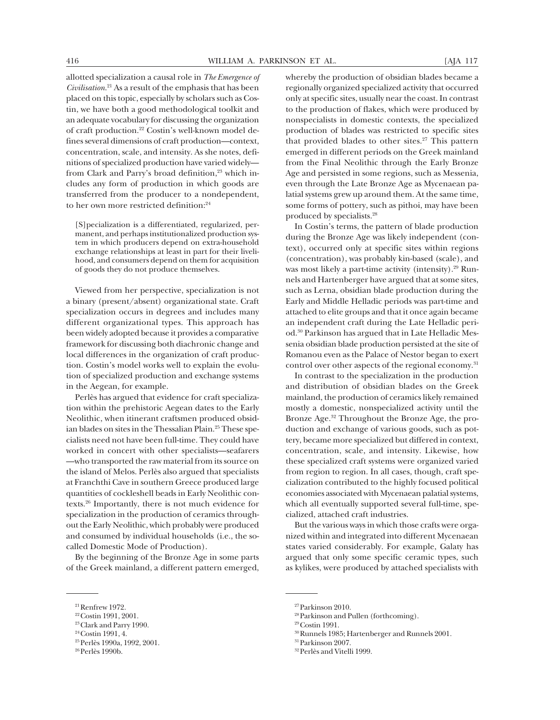allotted specialization a causal role in *The Emergence of Civilisation*. 21 As a result of the emphasis that has been placed on this topic, especially by scholars such as Costin, we have both a good methodological toolkit and an adequate vocabulary for discussing the organization of craft production.22 Costin's well-known model defines several dimensions of craft production—context, concentration, scale, and intensity. As she notes, definitions of specialized production have varied widely from Clark and Parry's broad definition,<sup>23</sup> which includes any form of production in which goods are transferred from the producer to a nondependent, to her own more restricted definition:<sup>24</sup>

[S]pecialization is a differentiated, regularized, permanent, and perhaps institutionalized production system in which producers depend on extra-household exchange relationships at least in part for their livelihood, and consumers depend on them for acquisition of goods they do not produce themselves.

Viewed from her perspective, specialization is not a binary (present/absent) organizational state. Craft specialization occurs in degrees and includes many different organizational types. This approach has been widely adopted because it provides a comparative framework for discussing both diachronic change and local differences in the organization of craft production. Costin's model works well to explain the evolution of specialized production and exchange systems in the Aegean, for example.

Perlès has argued that evidence for craft specialization within the prehistoric Aegean dates to the Early Neolithic, when itinerant craftsmen produced obsidian blades on sites in the Thessalian Plain.<sup>25</sup> These specialists need not have been full-time. They could have worked in concert with other specialists—seafarers —who transported the raw material from its source on the island of Melos. Perlès also argued that specialists at Franchthi Cave in southern Greece produced large quantities of cockleshell beads in Early Neolithic contexts.26 Importantly, there is not much evidence for specialization in the production of ceramics throughout the Early Neolithic, which probably were produced and consumed by individual households (i.e., the socalled Domestic Mode of Production).

By the beginning of the Bronze Age in some parts of the Greek mainland, a different pattern emerged,

whereby the production of obsidian blades became a regionally organized specialized activity that occurred only at specific sites, usually near the coast. In contrast to the production of flakes, which were produced by nonspecialists in domestic contexts, the specialized production of blades was restricted to specific sites that provided blades to other sites.<sup>27</sup> This pattern emerged in different periods on the Greek mainland from the Final Neolithic through the Early Bronze Age and persisted in some regions, such as Messenia, even through the Late Bronze Age as Mycenaean palatial systems grew up around them. At the same time, some forms of pottery, such as pithoi, may have been produced by specialists.28

In Costin's terms, the pattern of blade production during the Bronze Age was likely independent (context), occurred only at specific sites within regions (concentration), was probably kin-based (scale), and was most likely a part-time activity (intensity).<sup>29</sup> Runnels and Hartenberger have argued that at some sites, such as Lerna, obsidian blade production during the Early and Middle Helladic periods was part-time and attached to elite groups and that it once again became an independent craft during the Late Helladic period.30 Parkinson has argued that in Late Helladic Messenia obsidian blade production persisted at the site of Romanou even as the Palace of Nestor began to exert control over other aspects of the regional economy.<sup>31</sup>

In contrast to the specialization in the production and distribution of obsidian blades on the Greek mainland, the production of ceramics likely remained mostly a domestic, nonspecialized activity until the Bronze Age.<sup>32</sup> Throughout the Bronze Age, the production and exchange of various goods, such as pottery, became more specialized but differed in context, concentration, scale, and intensity. Likewise, how these specialized craft systems were organized varied from region to region. In all cases, though, craft specialization contributed to the highly focused political economies associated with Mycenaean palatial systems, which all eventually supported several full-time, specialized, attached craft industries.

But the various ways in which those crafts were organized within and integrated into different Mycenaean states varied considerably. For example, Galaty has argued that only some specific ceramic types, such as kylikes, were produced by attached specialists with

30 Runnels 1985; Hartenberger and Runnels 2001.

<sup>21</sup> Renfrew 1972.

<sup>22</sup> Costin 1991, 2001.

<sup>23</sup> Clark and Parry 1990.

<sup>24</sup> Costin 1991, 4.

<sup>25</sup> Perlès 1990a, 1992, 2001.

<sup>26</sup> Perlès 1990b.

<sup>&</sup>lt;sup>27</sup> Parkinson 2010.

<sup>28</sup> Parkinson and Pullen (forthcoming).

<sup>29</sup> Costin 1991.

 $\rm ^{31}$  Parkinson 2007.

<sup>32</sup> Perlès and Vitelli 1999.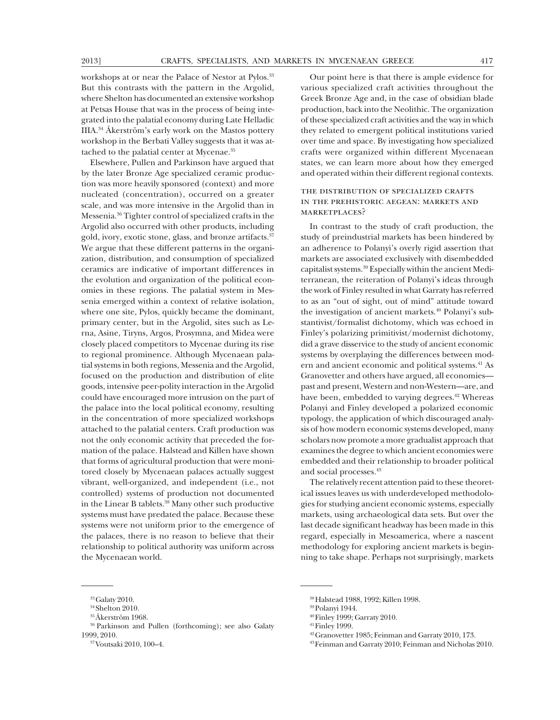workshops at or near the Palace of Nestor at Pylos.<sup>33</sup> But this contrasts with the pattern in the Argolid, where Shelton has documented an extensive workshop at Petsas House that was in the process of being integrated into the palatial economy during Late Helladic IIIA.34 Åkerström's early work on the Mastos pottery workshop in the Berbati Valley suggests that it was attached to the palatial center at Mycenae.<sup>35</sup>

Elsewhere, Pullen and Parkinson have argued that by the later Bronze Age specialized ceramic production was more heavily sponsored (context) and more nucleated (concentration), occurred on a greater scale, and was more intensive in the Argolid than in Messenia.36 Tighter control of specialized crafts in the Argolid also occurred with other products, including gold, ivory, exotic stone, glass, and bronze artifacts.<sup>37</sup> We argue that these different patterns in the organization, distribution, and consumption of specialized ceramics are indicative of important differences in the evolution and organization of the political economies in these regions. The palatial system in Messenia emerged within a context of relative isolation, where one site, Pylos, quickly became the dominant, primary center, but in the Argolid, sites such as Lerna, Asine, Tiryns, Argos, Prosymna, and Midea were closely placed competitors to Mycenae during its rise to regional prominence. Although Mycenaean palatial systems in both regions, Messenia and the Argolid, focused on the production and distribution of elite goods, intensive peer-polity interaction in the Argolid could have encouraged more intrusion on the part of the palace into the local political economy, resulting in the concentration of more specialized workshops attached to the palatial centers. Craft production was not the only economic activity that preceded the formation of the palace. Halstead and Killen have shown that forms of agricultural production that were monitored closely by Mycenaean palaces actually suggest vibrant, well-organized, and independent (i.e., not controlled) systems of production not documented in the Linear B tablets.<sup>38</sup> Many other such productive systems must have predated the palace. Because these systems were not uniform prior to the emergence of the palaces, there is no reason to believe that their relationship to political authority was uniform across the Mycenaean world.

Our point here is that there is ample evidence for various specialized craft activities throughout the Greek Bronze Age and, in the case of obsidian blade production, back into the Neolithic. The organization of these specialized craft activities and the way in which they related to emergent political institutions varied over time and space. By investigating how specialized crafts were organized within different Mycenaean states, we can learn more about how they emerged and operated within their different regional contexts.

# THE DISTRIBUTION OF SPECIALIZED CRAFTS in the prehistoric aegean: markets and marketplaces?

In contrast to the study of craft production, the study of preindustrial markets has been hindered by an adherence to Polanyi's overly rigid assertion that markets are associated exclusively with disembedded capitalist systems.39 Especially within the ancient Mediterranean, the reiteration of Polanyi's ideas through the work of Finley resulted in what Garraty has referred to as an "out of sight, out of mind" attitude toward the investigation of ancient markets.<sup>40</sup> Polanyi's substantivist/formalist dichotomy, which was echoed in Finley's polarizing primitivist/modernist dichotomy, did a grave disservice to the study of ancient economic systems by overplaying the differences between modern and ancient economic and political systems.<sup>41</sup> As Granovetter and others have argued, all economies past and present, Western and non-Western—are, and have been, embedded to varying degrees.<sup>42</sup> Whereas Polanyi and Finley developed a polarized economic typology, the application of which discouraged analysis of how modern economic systems developed, many scholars now promote a more gradualist approach that examines the degree to which ancient economies were embedded and their relationship to broader political and social processes.<sup>43</sup>

The relatively recent attention paid to these theoretical issues leaves us with underdeveloped methodologies for studying ancient economic systems, especially markets, using archaeological data sets. But over the last decade significant headway has been made in this regard, especially in Mesoamerica, where a nascent methodology for exploring ancient markets is beginning to take shape. Perhaps not surprisingly, markets

42 Granovetter 1985; Feinman and Garraty 2010, 173.

<sup>33</sup> Galaty 2010.

<sup>34</sup> Shelton 2010.

<sup>35</sup> Åkerström 1968.

<sup>36</sup> Parkinson and Pullen (forthcoming); see also Galaty 1999, 2010.

<sup>37</sup> Voutsaki 2010, 100–4.

<sup>38</sup> Halstead 1988, 1992; Killen 1998.

<sup>39</sup> Polanyi 1944.

<sup>40</sup> Finley 1999; Garraty 2010.

<sup>41</sup> Finley 1999.

<sup>43</sup> Feinman and Garraty 2010; Feinman and Nicholas 2010.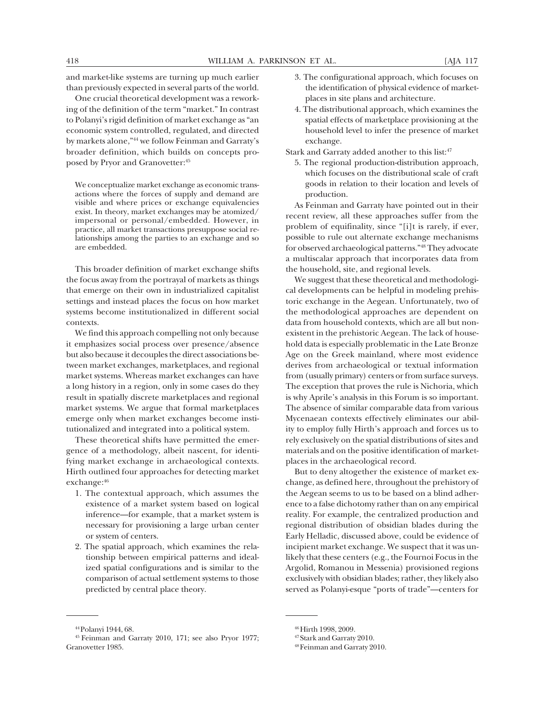and market-like systems are turning up much earlier than previously expected in several parts of the world.

One crucial theoretical development was a reworking of the definition of the term "market." In contrast to Polanyi's rigid definition of market exchange as "an economic system controlled, regulated, and directed by markets alone,"44 we follow Feinman and Garraty's broader definition, which builds on concepts proposed by Pryor and Granovetter:<sup>45</sup>

We conceptualize market exchange as economic transactions where the forces of supply and demand are visible and where prices or exchange equivalencies exist. In theory, market exchanges may be atomized/ impersonal or personal/embedded. However, in practice, all market transactions presuppose social relationships among the parties to an exchange and so are embedded.

This broader definition of market exchange shifts the focus away from the portrayal of markets as things that emerge on their own in industrialized capitalist settings and instead places the focus on how market systems become institutionalized in different social contexts.

We find this approach compelling not only because it emphasizes social process over presence/absence but also because it decouples the direct associations between market exchanges, marketplaces, and regional market systems. Whereas market exchanges can have a long history in a region, only in some cases do they result in spatially discrete marketplaces and regional market systems. We argue that formal marketplaces emerge only when market exchanges become institutionalized and integrated into a political system.

These theoretical shifts have permitted the emergence of a methodology, albeit nascent, for identifying market exchange in archaeological contexts. Hirth outlined four approaches for detecting market exchange:46

- 1. The contextual approach, which assumes the existence of a market system based on logical inference—for example, that a market system is necessary for provisioning a large urban center or system of centers.
- 2. The spatial approach, which examines the relationship between empirical patterns and idealized spatial configurations and is similar to the comparison of actual settlement systems to those predicted by central place theory.

4. The distributional approach, which examines the spatial effects of marketplace provisioning at the household level to infer the presence of market exchange.

Stark and Garraty added another to this list:<sup>47</sup>

5. The regional production-distribution approach, which focuses on the distributional scale of craft goods in relation to their location and levels of production.

As Feinman and Garraty have pointed out in their recent review, all these approaches suffer from the problem of equifinality, since "[i]t is rarely, if ever, possible to rule out alternate exchange mechanisms for observed archaeological patterns."48 They advocate a multiscalar approach that incorporates data from the household, site, and regional levels.

We suggest that these theoretical and methodological developments can be helpful in modeling prehistoric exchange in the Aegean. Unfortunately, two of the methodological approaches are dependent on data from household contexts, which are all but nonexistent in the prehistoric Aegean. The lack of household data is especially problematic in the Late Bronze Age on the Greek mainland, where most evidence derives from archaeological or textual information from (usually primary) centers or from surface surveys. The exception that proves the rule is Nichoria, which is why Aprile's analysis in this Forum is so important. The absence of similar comparable data from various Mycenaean contexts effectively eliminates our ability to employ fully Hirth's approach and forces us to rely exclusively on the spatial distributions of sites and materials and on the positive identification of marketplaces in the archaeological record.

But to deny altogether the existence of market exchange, as defined here, throughout the prehistory of the Aegean seems to us to be based on a blind adherence to a false dichotomy rather than on any empirical reality. For example, the centralized production and regional distribution of obsidian blades during the Early Helladic, discussed above, could be evidence of incipient market exchange. We suspect that it was unlikely that these centers (e.g., the Fournoi Focus in the Argolid, Romanou in Messenia) provisioned regions exclusively with obsidian blades; rather, they likely also served as Polanyi-esque "ports of trade"—centers for

<sup>3.</sup> The configurational approach, which focuses on the identification of physical evidence of marketplaces in site plans and architecture.

<sup>44</sup> Polanyi 1944, 68.

<sup>45</sup> Feinman and Garraty 2010, 171; see also Pryor 1977; Granovetter 1985.

<sup>46</sup> Hirth 1998, 2009.

<sup>47</sup> Stark and Garraty 2010.

<sup>48</sup> Feinman and Garraty 2010.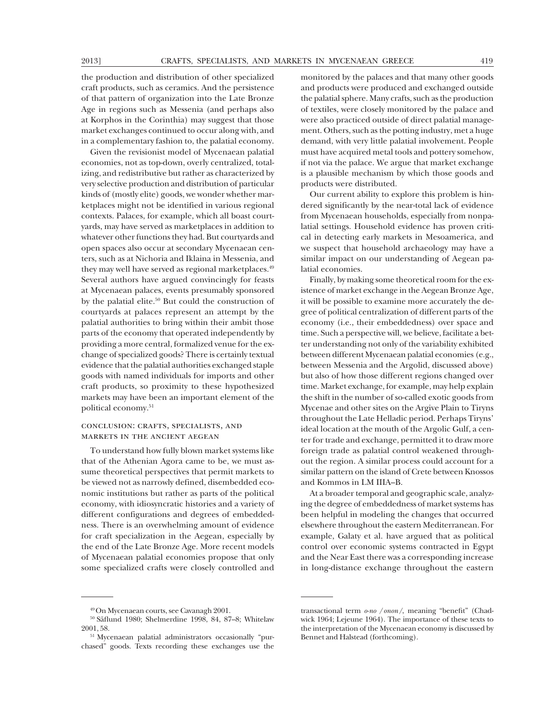the production and distribution of other specialized craft products, such as ceramics. And the persistence of that pattern of organization into the Late Bronze Age in regions such as Messenia (and perhaps also at Korphos in the Corinthia) may suggest that those market exchanges continued to occur along with, and in a complementary fashion to, the palatial economy.

Given the revisionist model of Mycenaean palatial economies, not as top-down, overly centralized, totalizing, and redistributive but rather as characterized by very selective production and distribution of particular kinds of (mostly elite) goods, we wonder whether marketplaces might not be identified in various regional contexts. Palaces, for example, which all boast courtyards, may have served as marketplaces in addition to whatever other functions they had. But courtyards and open spaces also occur at secondary Mycenaean centers, such as at Nichoria and Iklaina in Messenia, and they may well have served as regional marketplaces.<sup>49</sup> Several authors have argued convincingly for feasts at Mycenaean palaces, events presumably sponsored by the palatial elite.<sup>50</sup> But could the construction of courtyards at palaces represent an attempt by the palatial authorities to bring within their ambit those parts of the economy that operated independently by providing a more central, formalized venue for the exchange of specialized goods? There is certainly textual evidence that the palatial authorities exchanged staple goods with named individuals for imports and other craft products, so proximity to these hypothesized markets may have been an important element of the political economy.<sup>51</sup>

# conclusion: crafts, specialists, and markets in the ancient aegean

To understand how fully blown market systems like that of the Athenian Agora came to be, we must assume theoretical perspectives that permit markets to be viewed not as narrowly defined, disembedded economic institutions but rather as parts of the political economy, with idiosyncratic histories and a variety of different configurations and degrees of embeddedness. There is an overwhelming amount of evidence for craft specialization in the Aegean, especially by the end of the Late Bronze Age. More recent models of Mycenaean palatial economies propose that only some specialized crafts were closely controlled and monitored by the palaces and that many other goods and products were produced and exchanged outside the palatial sphere. Many crafts, such as the production of textiles, were closely monitored by the palace and were also practiced outside of direct palatial management. Others, such as the potting industry, met a huge demand, with very little palatial involvement. People must have acquired metal tools and pottery somehow, if not via the palace. We argue that market exchange is a plausible mechanism by which those goods and products were distributed.

Our current ability to explore this problem is hindered significantly by the near-total lack of evidence from Mycenaean households, especially from nonpalatial settings. Household evidence has proven critical in detecting early markets in Mesoamerica, and we suspect that household archaeology may have a similar impact on our understanding of Aegean palatial economies.

Finally, by making some theoretical room for the existence of market exchange in the Aegean Bronze Age, it will be possible to examine more accurately the degree of political centralization of different parts of the economy (i.e., their embeddedness) over space and time. Such a perspective will, we believe, facilitate a better understanding not only of the variability exhibited between different Mycenaean palatial economies (e.g., between Messenia and the Argolid, discussed above) but also of how those different regions changed over time. Market exchange, for example, may help explain the shift in the number of so-called exotic goods from Mycenae and other sites on the Argive Plain to Tiryns throughout the Late Helladic period. Perhaps Tiryns' ideal location at the mouth of the Argolic Gulf, a center for trade and exchange, permitted it to draw more foreign trade as palatial control weakened throughout the region. A similar process could account for a similar pattern on the island of Crete between Knossos and Kommos in LM IIIA–B.

At a broader temporal and geographic scale, analyzing the degree of embeddedness of market systems has been helpful in modeling the changes that occurred elsewhere throughout the eastern Mediterranean. For example, Galaty et al. have argued that as political control over economic systems contracted in Egypt and the Near East there was a corresponding increase in long-distance exchange throughout the eastern

<sup>49</sup> On Mycenaean courts, see Cavanagh 2001.

<sup>&</sup>lt;sup>50</sup> Säflund 1980; Shelmerdine 1998, 84, 87-8; Whitelaw 2001, 58.

<sup>51</sup> Mycenaean palatial administrators occasionally "purchased" goods. Texts recording these exchanges use the

transactional term  $o$ -no /onon/, meaning "benefit" (Chadwick 1964; Lejeune 1964). The importance of these texts to the interpretation of the Mycenaean economy is discussed by Bennet and Halstead (forthcoming).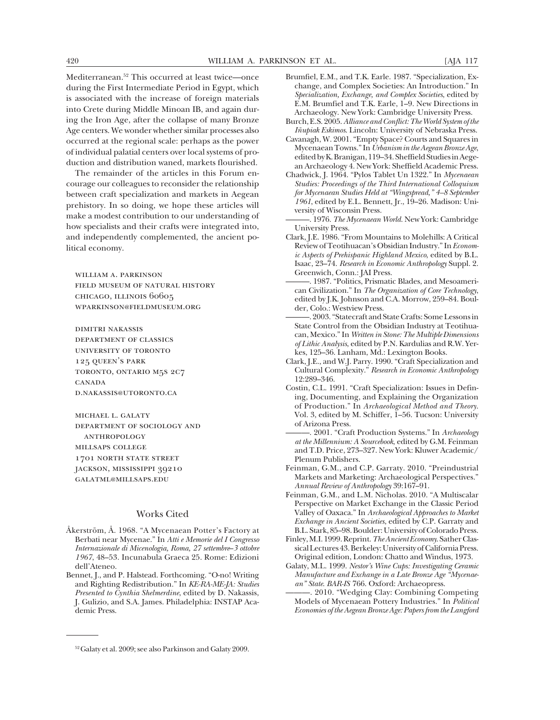Mediterranean.52 This occurred at least twice—once during the First Intermediate Period in Egypt, which is associated with the increase of foreign materials into Crete during Middle Minoan IB, and again during the Iron Age, after the collapse of many Bronze Age centers. We wonder whether similar processes also occurred at the regional scale: perhaps as the power of individual palatial centers over local systems of production and distribution waned, markets flourished.

The remainder of the articles in this Forum encourage our colleagues to reconsider the relationship between craft specialization and markets in Aegean prehistory. In so doing, we hope these articles will make a modest contribution to our understanding of how specialists and their crafts were integrated into, and independently complemented, the ancient political economy.

william a. parkinson field museum of natural history chicago, illinois 60605 wparkinson@fieldmuseum.org

dimitri nakassis department of classics university of toronto 125 queen's park toronto, ontario m5s 2c7 **CANADA** d.nakassis@utoronto.ca

michael l. galaty department of sociology and **ANTHROPOLOGY** millsaps college 1701 NORTH STATE STREET jackson, mississippi 39210 galatml@millsaps.edu

#### Works Cited

- Åkerström, Å. 1968. "A Mycenaean Potter's Factory at Berbati near Mycenae." In *Atti e Memorie del I Congresso Internazionale di Micenologia, Roma, 27 settembre*–*3 ottobre 1967*, 48–53. Incunabula Graeca 25. Rome: Edizioni dell'Ateneo.
- Bennet, J., and P. Halstead. Forthcoming. "O-no! Writing and Righting Redistribution." In *KE-RA-ME-JA: Studies Presented to Cynthia Shelmerdine*, edited by D. Nakassis, J. Gulizio, and S.A. James. Philadelphia: INSTAP Academic Press.
- Burch, E.S. 2005. *Alliance and Conflict: The World System of the Iñupiak Eskimos*. Lincoln: University of Nebraska Press.
- Cavanagh, W. 2001. "Empty Space? Courts and Squares in Mycenaean Towns." In *Urbanism in the Aegean Bronze Age*, edited by K. Branigan, 119–34. Sheffield Studies in Aegean Archaeology 4. New York: Sheffield Academic Press.
- Chadwick, J. 1964. "Pylos Tablet Un 1322." In *Mycenaean Studies: Proceedings of the Third International Colloquium for Mycenaean Studies Held at "Wingspread," 4–8 September 1961*, edited by E.L. Bennett, Jr., 19–26. Madison: University of Wisconsin Press.
- ———. 1976. *The Mycenaean World.* New York: Cambridge University Press.
- Clark, J.E. 1986. "From Mountains to Molehills: A Critical Review of Teotihuacan's Obsidian Industry." In *Economic Aspects of Prehispanic Highland Mexico*, edited by B.L. Isaac, 23–74. *Research in Economic Anthropology* Suppl. 2. Greenwich, Conn.: JAI Press.
- ———. 1987. "Politics, Prismatic Blades, and Mesoamerican Civilization." In *The Organization of Core Technology*, edited by J.K. Johnson and C.A. Morrow, 259–84. Boulder, Colo.: Westview Press.
- ———. 2003. "Statecraft and State Crafts: Some Lessons in State Control from the Obsidian Industry at Teotihuacan, Mexico." In *Written in Stone: The Multiple Dimensions of Lithic Analysis*, edited by P.N. Kardulias and R.W. Yerkes, 125–36. Lanham, Md.: Lexington Books.
- Clark, J.E., and W.J. Parry. 1990. "Craft Specialization and Cultural Complexity." *Research in Economic Anthropology*  12:289–346.
- Costin, C.L. 1991. "Craft Specialization: Issues in Defining, Documenting, and Explaining the Organization of Production." In *Archaeological Method and Theory*. Vol. 3, edited by M. Schiffer, 1–56. Tucson: University of Arizona Press.
- ———. 2001. "Craft Production Systems." In *Archaeology at the Millennium: A Sourcebook*, edited by G.M. Feinman and T.D. Price, 273–327. New York: Kluwer Academic/ Plenum Publishers.
- Feinman, G.M., and C.P. Garraty. 2010. "Preindustrial Markets and Marketing: Archaeological Perspectives." *Annual Review of Anthropology* 39:167–91.
- Feinman, G.M., and L.M. Nicholas. 2010. "A Multiscalar Perspective on Market Exchange in the Classic Period Valley of Oaxaca." In *Archaeological Approaches to Market Exchange in Ancient Societies*, edited by C.P. Garraty and B.L. Stark, 85–98. Boulder: University of Colorado Press.
- Finley, M.I. 1999. Reprint. *The Ancient Economy*. Sather Classical Lectures 43. Berkeley: University of California Press. Original edition, London: Chatto and Windus, 1973.
- Galaty, M.L. 1999. *Nestor's Wine Cups: Investigating Ceramic Manufacture and Exchange in a Late Bronze Age "Mycenaean" State*. *BAR-IS* 766. Oxford: Archaeopress.
- 2010. "Wedging Clay: Combining Competing Models of Mycenaean Pottery Industries." In *Political Economies of the Aegean Bronze Age: Papers from the Langford*

Brumfiel, E.M., and T.K. Earle. 1987. "Specialization, Exchange, and Complex Societies: An Introduction." In *Specialization, Exchange, and Complex Societies*, edited by E.M. Brumfiel and T.K. Earle, 1–9. New Directions in Archaeology. New York: Cambridge University Press.

<sup>52</sup> Galaty et al. 2009; see also Parkinson and Galaty 2009.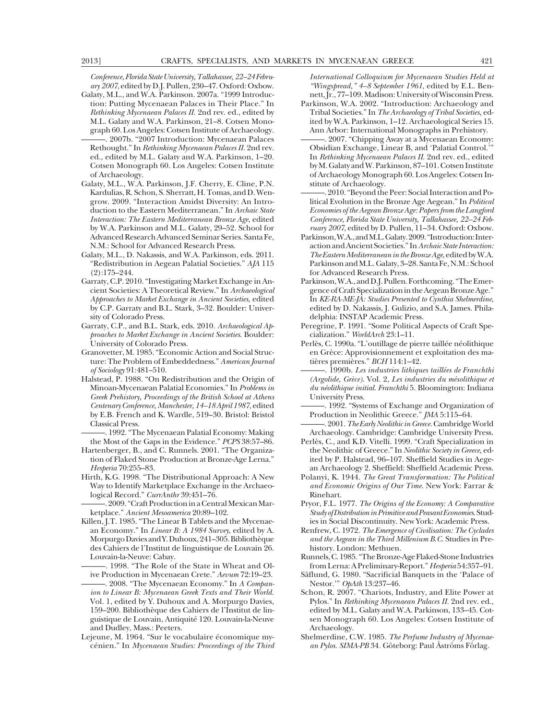*Conference, Florida State University, Tallahassee, 22–24 February 2007*, edited by D.J. Pullen, 230–47. Oxford: Oxbow.

- Galaty, M.L., and W.A. Parkinson. 2007a. "1999 Introduction: Putting Mycenaean Palaces in Their Place." In *Rethinking Mycenaean Palaces II.* 2nd rev. ed., edited by M.L. Galaty and W.A. Parkinson, 21–8. Cotsen Monograph 60. Los Angeles: Cotsen Institute of Archaeology.
- ———. 2007b. "2007 Introduction: Mycenaean Palaces Rethought." In *Rethinking Mycenaean Palaces II.* 2nd rev. ed., edited by M.L. Galaty and W.A. Parkinson, 1–20. Cotsen Monograph 60. Los Angeles: Cotsen Institute of Archaeology.
- Galaty, M.L., W.A. Parkinson, J.F. Cherry, E. Cline, P.N. Kardulias, R. Schon, S. Sherratt, H. Tomas, and D. Wengrow. 2009. "Interaction Amidst Diversity: An Introduction to the Eastern Mediterranean." In *Archaic State Interaction: The Eastern Mediterranean Bronze Age*, edited by W.A. Parkinson and M.L. Galaty, 29–52. School for Advanced Research Advanced Seminar Series. Santa Fe, N.M.: School for Advanced Research Press.
- Galaty, M.L., D. Nakassis, and W.A. Parkinson, eds. 2011. "Redistribution in Aegean Palatial Societies." *AJA* 115  $(2):175-244.$
- Garraty, C.P. 2010. "Investigating Market Exchange in Ancient Societies: A Theoretical Review." In *Archaeological Approaches to Market Exchange in Ancient Societies*, edited by C.P. Garraty and B.L. Stark, 3–32. Boulder: University of Colorado Press.
- Garraty, C.P., and B.L. Stark, eds. 2010. *Archaeological Approaches to Market Exchange in Ancient Societies*. Boulder: University of Colorado Press.
- Granovetter, M. 1985. "Economic Action and Social Structure: The Problem of Embeddedness." *American Journal of Sociology* 91:481–510.
- Halstead, P. 1988. "On Redistribution and the Origin of Minoan-Mycenaean Palatial Economies." In *Problems in Greek Prehistory, Proceedings of the British School at Athens Centenary Conference, Manchester, 14–18 April 1987,* edited by E.B. French and K. Wardle, 519–30. Bristol: Bristol Classical Press.
- ———. 1992. "The Mycenaean Palatial Economy: Making the Most of the Gaps in the Evidence." *PCPS* 38:57–86.
- Hartenberger, B., and C. Runnels. 2001. "The Organization of Flaked Stone Production at Bronze-Age Lerna." *Hesperia* 70:255–83.
- Hirth, K.G. 1998. "The Distributional Approach: A New Way to Identify Marketplace Exchange in the Archaeological Record." *CurrAnthr* 39:451–76.
- . 2009. "Craft Production in a Central Mexican Marketplace." *Ancient Mesoamerica* 20:89–102.
- Killen, J.T. 1985. "The Linear B Tablets and the Mycenaean Economy." In *Linear B: A 1984 Survey*, edited by A. Morpurgo Davies and Y. Duhoux, 241–305. Bibliothèque des Cahiers de l'Institut de linguistique de Louvain 26. Louvain-la-Neuve: Cabay.
- ———. 1998. "The Role of the State in Wheat and Olive Production in Mycenaean Crete." *Aevum* 72:19–23.
- 2008. "The Mycenaean Economy." In *A Companion to Linear B: Mycenaean Greek Texts and Their World.*  Vol. 1, edited by Y. Duhoux and A. Morpurgo Davies, 159–200. Bibliothèque des Cahiers de l'Institut de linguistique de Louvain, Antiquité 120. Louvain-la-Neuve and Dudley, Mass.: Peeters.
- Lejeune, M. 1964. "Sur le vocabulaire économique mycénien." In *Mycenaean Studies: Proceedings of the Third*

*International Colloquium for Mycenaean Studies Held at "Wingspread," 4–8 September 1961*, edited by E.L. Bennett, Jr., 77–109. Madison: University of Wisconsin Press.

- Parkinson, W.A. 2002. "Introduction: Archaeology and Tribal Societies." In *The Archaeology of Tribal Societies,* edited by W.A. Parkinson, 1–12*.* Archaeological Series 15. Ann Arbor: International Monographs in Prehistory.
- . 2007. "Chipping Away at a Mycenaean Economy: Obsidian Exchange, Linear B, and 'Palatial Control.'" In *Rethinking Mycenaean Palaces II*. 2nd rev. ed., edited by M. Galaty and W. Parkinson, 87–101. Cotsen Institute of Archaeology Monograph 60. Los Angeles: Cotsen Institute of Archaeology.
- 2010. "Beyond the Peer: Social Interaction and Political Evolution in the Bronze Age Aegean." In *Political Economies of the Aegean Bronze Age: Papers from the Langford Conference, Florida State University, Tallahassee, 22–24 February 2007*, edited by D. Pullen, 11–34. Oxford: Oxbow.
- Parkinson, W.A., and M.L. Galaty. 2009. "Introduction: Interaction and Ancient Societies." In *Archaic State Interaction: The Eastern Mediterranean in the Bronze Age*, edited by W.A. Parkinson and M.L. Galaty, 3–28. Santa Fe, N.M.: School for Advanced Research Press.
- Parkinson, W.A., and D.J. Pullen. Forthcoming. "The Emergence of Craft Specialization in the Aegean Bronze Age." In *KE-RA-ME-JA: Studies Presented to Cynthia Shelmerdine*, edited by D. Nakassis, J. Gulizio, and S.A. James. Philadelphia: INSTAP Academic Press.
- Peregrine, P. 1991. "Some Political Aspects of Craft Specialization." *WorldArch* 23:1–11.
- Perlès, C. 1990a. "L'outillage de pierre taillée néolithique en Grèce: Approvisionnement et exploitation des matières premières." *BCH* 114:1–42.
- ———. 1990b. *Les industries lithiques taillées de Franchthi (Argolide, Grèce).* Vol. 2, *Les industries du mésolithique et du néolithique initial*. *Franchthi* 5. Bloomington: Indiana University Press.
- . 1992. "Systems of Exchange and Organization of Production in Neolithic Greece." *JMA* 5:115–64.
- ———. 2001. *The Early Neolithic in Greece.* Cambridge World Archaeology. Cambridge: Cambridge University Press.
- Perlès, C., and K.D. Vitelli. 1999. "Craft Specialization in the Neolithic of Greece." In *Neolithic Society in Greece,* edited by P. Halstead, 96–107. Sheffield Studies in Aegean Archaeology 2. Sheffield: Sheffield Academic Press.
- Polanyi, K. 1944. *The Great Transformation: The Political and Economic Origins of Our Time*. New York: Farrar & Rinehart.
- Pryor, F.L. 1977. *The Origins of the Economy: A Comparative Study of Distribution in Primitive and Peasant Economies*. Studies in Social Discontinuity. New York: Academic Press.
- Renfrew, C. 1972. *The Emergence of Civilisation: The Cyclades and the Aegean in the Third Millenium B.C.* Studies in Prehistory. London: Methuen.
- Runnels, C. 1985. "The Bronze-Age Flaked-Stone Industries from Lerna: A Preliminary-Report." *Hesperia* 54:357–91.
- Säflund, G. 1980. "Sacrificial Banquets in the 'Palace of Nestor.'" *OpAth* 13:237–46.
- Schon, R. 2007. "Chariots, Industry, and Elite Power at Pylos." In *Rethinking Mycenaean Palaces II.* 2nd rev. ed., edited by M.L. Galaty and W.A. Parkinson, 133–45. Cotsen Monograph 60. Los Angeles: Cotsen Institute of Archaeology.
- Shelmerdine, C.W. 1985. *The Perfume Industry of Mycenaean Pylos. SIMA-PB* 34*.* Göteborg: Paul Åströms Förlag.